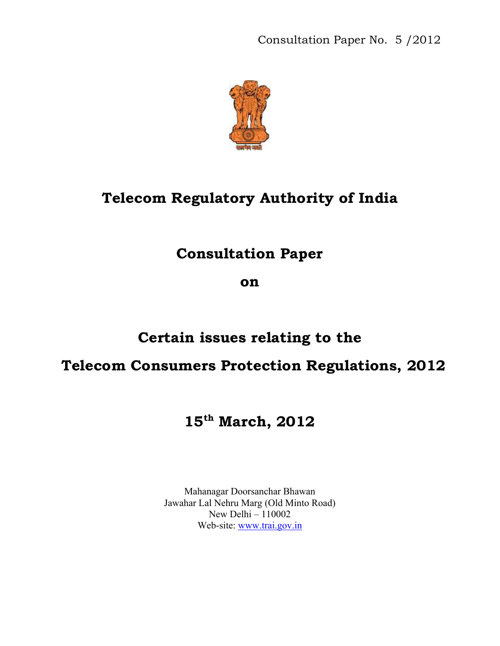Consultation Paper No. 5 /2012



## **Telecom Regulatory Authority of India**

### **Consultation Paper**

**on** 

## **Certain issues relating to the**

### **Telecom Consumers Protection Regulations, 2012**

# **15th March, 2012**

Mahanagar Doorsanchar Bhawan Jawahar Lal Nehru Marg (Old Minto Road) New Delhi – 110002 Web-site: www.trai.gov.in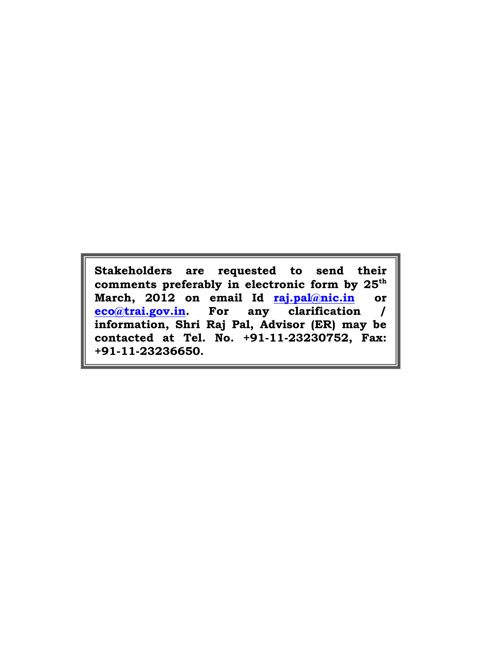**Stakeholders are requested to send their comments preferably in electronic form by 25th March, 2012 on email Id raj.pal@nic.in or eco@trai.gov.in. For any clarification / information, Shri Raj Pal, Advisor (ER) may be contacted at Tel. No. +91-11-23230752, Fax: +91-11-23236650.**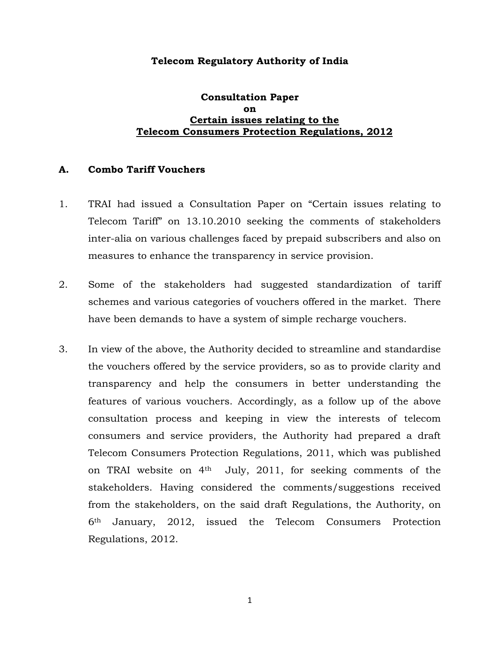#### **Telecom Regulatory Authority of India**

#### **Consultation Paper on Certain issues relating to the Telecom Consumers Protection Regulations, 2012**

#### **A. Combo Tariff Vouchers**

- 1. TRAI had issued a Consultation Paper on "Certain issues relating to Telecom Tariff" on 13.10.2010 seeking the comments of stakeholders inter-alia on various challenges faced by prepaid subscribers and also on measures to enhance the transparency in service provision.
- 2. Some of the stakeholders had suggested standardization of tariff schemes and various categories of vouchers offered in the market. There have been demands to have a system of simple recharge vouchers.
- 3. In view of the above, the Authority decided to streamline and standardise the vouchers offered by the service providers, so as to provide clarity and transparency and help the consumers in better understanding the features of various vouchers. Accordingly, as a follow up of the above consultation process and keeping in view the interests of telecom consumers and service providers, the Authority had prepared a draft Telecom Consumers Protection Regulations, 2011, which was published on TRAI website on 4th July, 2011, for seeking comments of the stakeholders. Having considered the comments/suggestions received from the stakeholders, on the said draft Regulations, the Authority, on 6th January, 2012, issued the Telecom Consumers Protection Regulations, 2012.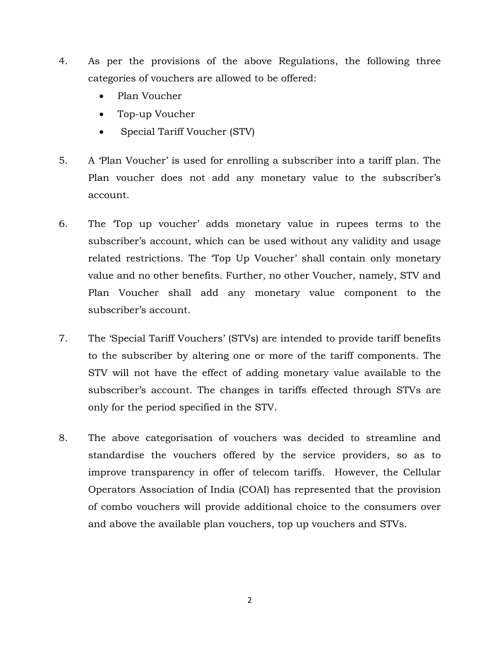- 4. As per the provisions of the above Regulations, the following three categories of vouchers are allowed to be offered:
	- Plan Voucher
	- Top-up Voucher
	- Special Tariff Voucher (STV)
- 5. A 'Plan Voucher' is used for enrolling a subscriber into a tariff plan. The Plan voucher does not add any monetary value to the subscriber's account.
- 6. The 'Top up voucher' adds monetary value in rupees terms to the subscriber's account, which can be used without any validity and usage related restrictions. The 'Top Up Voucher' shall contain only monetary value and no other benefits. Further, no other Voucher, namely, STV and Plan Voucher shall add any monetary value component to the subscriber's account.
- 7. The 'Special Tariff Vouchers' (STVs) are intended to provide tariff benefits to the subscriber by altering one or more of the tariff components. The STV will not have the effect of adding monetary value available to the subscriber's account. The changes in tariffs effected through STVs are only for the period specified in the STV.
- 8. The above categorisation of vouchers was decided to streamline and standardise the vouchers offered by the service providers, so as to improve transparency in offer of telecom tariffs. However, the Cellular Operators Association of India (COAI) has represented that the provision of combo vouchers will provide additional choice to the consumers over and above the available plan vouchers, top up vouchers and STVs.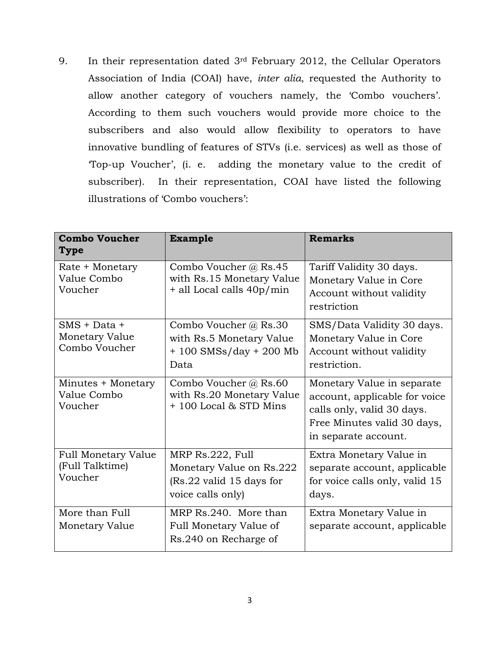9. In their representation dated  $3<sup>rd</sup>$  February 2012, the Cellular Operators Association of India (COAI) have, *inter alia*, requested the Authority to allow another category of vouchers namely, the 'Combo vouchers'. According to them such vouchers would provide more choice to the subscribers and also would allow flexibility to operators to have innovative bundling of features of STVs (i.e. services) as well as those of 'Top-up Voucher', (i. e. adding the monetary value to the credit of subscriber). In their representation, COAI have listed the following illustrations of 'Combo vouchers':

| <b>Combo Voucher</b><br><b>Type</b>                      | <b>Example</b>                                                                                  | <b>Remarks</b>                                                                                                                                   |
|----------------------------------------------------------|-------------------------------------------------------------------------------------------------|--------------------------------------------------------------------------------------------------------------------------------------------------|
| Rate + Monetary<br>Value Combo<br>Voucher                | Combo Voucher @ Rs.45<br>with Rs.15 Monetary Value<br>+ all Local calls 40p/min                 | Tariff Validity 30 days.<br>Monetary Value in Core<br>Account without validity<br>restriction                                                    |
| $SMS + Data +$<br>Monetary Value<br>Combo Voucher        | Combo Voucher @ Rs.30<br>with Rs.5 Monetary Value<br>$+ 100$ SMSs/day $+ 200$ Mb<br>Data        | SMS/Data Validity 30 days.<br>Monetary Value in Core<br>Account without validity<br>restriction.                                                 |
| Minutes + Monetary<br>Value Combo<br>Voucher             | Combo Voucher @ Rs.60<br>with Rs.20 Monetary Value<br>+ 100 Local & STD Mins                    | Monetary Value in separate<br>account, applicable for voice<br>calls only, valid 30 days.<br>Free Minutes valid 30 days,<br>in separate account. |
| <b>Full Monetary Value</b><br>(Full Talktime)<br>Voucher | MRP Rs.222, Full<br>Monetary Value on Rs.222<br>$(Rs.22$ valid 15 days for<br>voice calls only) | Extra Monetary Value in<br>separate account, applicable<br>for voice calls only, valid 15<br>days.                                               |
| More than Full<br>Monetary Value                         | MRP Rs.240. More than<br>Full Monetary Value of<br>Rs.240 on Recharge of                        | Extra Monetary Value in<br>separate account, applicable                                                                                          |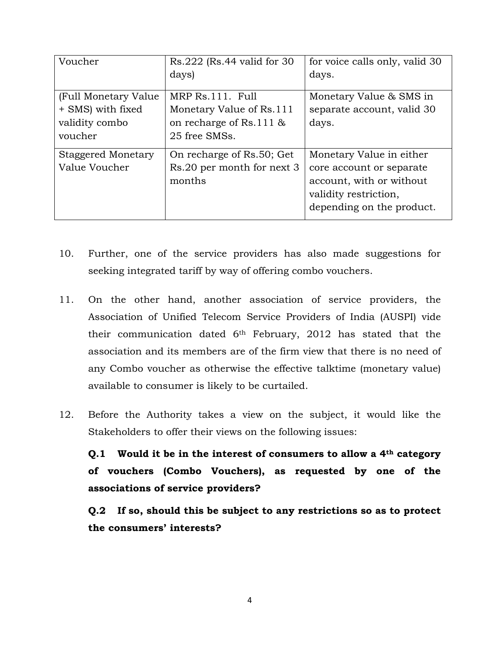| Voucher                   | $Rs.222$ (Rs.44 valid for 30) | for voice calls only, valid 30 |
|---------------------------|-------------------------------|--------------------------------|
|                           | days)                         | days.                          |
|                           |                               |                                |
| (Full Monetary Value)     | MRP Rs.111. Full              | Monetary Value & SMS in        |
| + SMS) with fixed         | Monetary Value of Rs.111      | separate account, valid 30     |
| validity combo            | on recharge of Rs.111 &       | days.                          |
| voucher                   | 25 free SMSs.                 |                                |
| <b>Staggered Monetary</b> | On recharge of Rs.50; Get     | Monetary Value in either       |
| Value Voucher             | Rs.20 per month for next 3    | core account or separate       |
|                           | months                        | account, with or without       |
|                           |                               | validity restriction,          |
|                           |                               | depending on the product.      |

- 10. Further, one of the service providers has also made suggestions for seeking integrated tariff by way of offering combo vouchers.
- 11. On the other hand, another association of service providers, the Association of Unified Telecom Service Providers of India (AUSPI) vide their communication dated 6th February, 2012 has stated that the association and its members are of the firm view that there is no need of any Combo voucher as otherwise the effective talktime (monetary value) available to consumer is likely to be curtailed.
- 12. Before the Authority takes a view on the subject, it would like the Stakeholders to offer their views on the following issues:

**Q.1 Would it be in the interest of consumers to allow a 4th category of vouchers (Combo Vouchers), as requested by one of the associations of service providers?** 

**Q.2 If so, should this be subject to any restrictions so as to protect the consumers' interests?**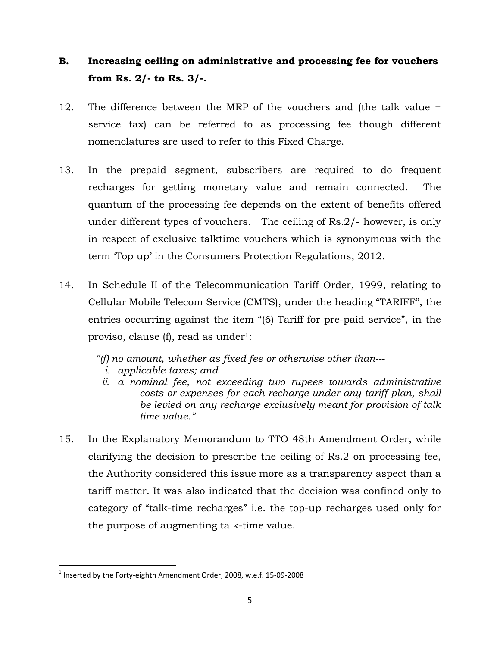### **B. Increasing ceiling on administrative and processing fee for vouchers from Rs. 2/- to Rs. 3/-.**

- 12. The difference between the MRP of the vouchers and (the talk value + service tax) can be referred to as processing fee though different nomenclatures are used to refer to this Fixed Charge.
- 13. In the prepaid segment, subscribers are required to do frequent recharges for getting monetary value and remain connected. The quantum of the processing fee depends on the extent of benefits offered under different types of vouchers. The ceiling of Rs.2/- however, is only in respect of exclusive talktime vouchers which is synonymous with the term 'Top up' in the Consumers Protection Regulations, 2012.
- 14. In Schedule II of the Telecommunication Tariff Order, 1999, relating to Cellular Mobile Telecom Service (CMTS), under the heading "TARIFF", the entries occurring against the item "(6) Tariff for pre-paid service", in the proviso, clause  $(f)$ , read as under<sup>1</sup>:
	- *"(f) no amount, whether as fixed fee or otherwise other than--* 
		- *i. applicable taxes; and*
	- *ii. a nominal fee, not exceeding two rupees towards administrative costs or expenses for each recharge under any tariff plan, shall be levied on any recharge exclusively meant for provision of talk time value."*
- 15. In the Explanatory Memorandum to TTO 48th Amendment Order, while clarifying the decision to prescribe the ceiling of Rs.2 on processing fee, the Authority considered this issue more as a transparency aspect than a tariff matter. It was also indicated that the decision was confined only to category of "talk-time recharges" i.e. the top-up recharges used only for the purpose of augmenting talk-time value.

 <sup>1</sup> Inserted by the Forty-eighth Amendment Order, 2008, w.e.f. 15-09-2008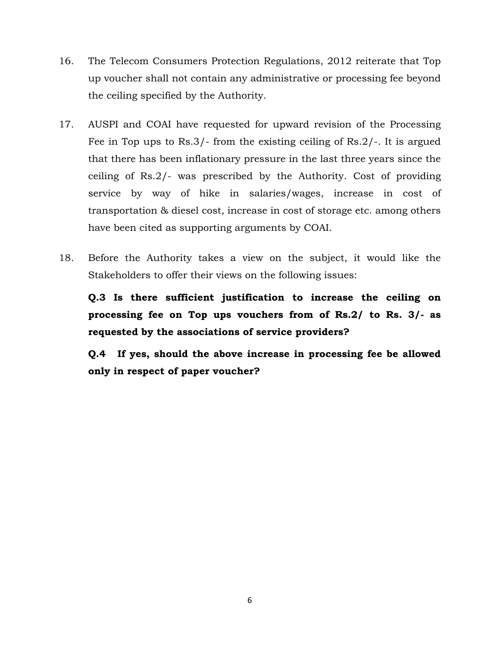- 16. The Telecom Consumers Protection Regulations, 2012 reiterate that Top up voucher shall not contain any administrative or processing fee beyond the ceiling specified by the Authority.
- 17. AUSPI and COAI have requested for upward revision of the Processing Fee in Top ups to Rs.3/- from the existing ceiling of Rs.2/-. It is argued that there has been inflationary pressure in the last three years since the ceiling of Rs.2/- was prescribed by the Authority. Cost of providing service by way of hike in salaries/wages, increase in cost of transportation & diesel cost, increase in cost of storage etc. among others have been cited as supporting arguments by COAI.
- 18. Before the Authority takes a view on the subject, it would like the Stakeholders to offer their views on the following issues:

**Q.3 Is there sufficient justification to increase the ceiling on processing fee on Top ups vouchers from of Rs.2/ to Rs. 3/- as requested by the associations of service providers?** 

**Q.4 If yes, should the above increase in processing fee be allowed only in respect of paper voucher?**